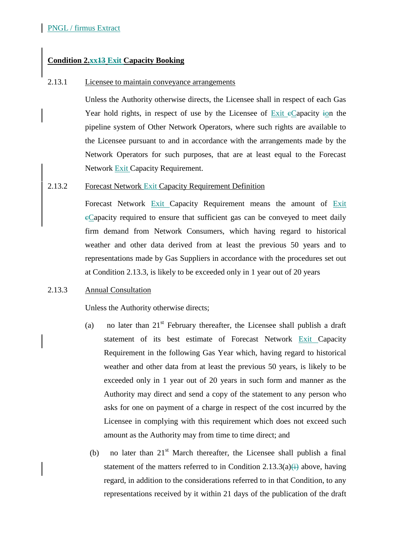# **Condition 2.xx13 Exit Capacity Booking**

#### 2.13.1 Licensee to maintain conveyance arrangements

Unless the Authority otherwise directs, the Licensee shall in respect of each Gas Year hold rights, in respect of use by the Licensee of  $\frac{Exit}{c}$  capacity ion the pipeline system of Other Network Operators, where such rights are available to the Licensee pursuant to and in accordance with the arrangements made by the Network Operators for such purposes, that are at least equal to the Forecast Network Exit Capacity Requirement.

#### 2.13.2 Forecast Network Exit Capacity Requirement Definition

Forecast Network Exit Capacity Requirement means the amount of Exit cCapacity required to ensure that sufficient gas can be conveyed to meet daily firm demand from Network Consumers, which having regard to historical weather and other data derived from at least the previous 50 years and to representations made by Gas Suppliers in accordance with the procedures set out at Condition 2.13.3, is likely to be exceeded only in 1 year out of 20 years

# 2.13.3 Annual Consultation

Unless the Authority otherwise directs;

- (a) no later than  $21<sup>st</sup>$  February thereafter, the Licensee shall publish a draft statement of its best estimate of Forecast Network Exit Capacity Requirement in the following Gas Year which, having regard to historical weather and other data from at least the previous 50 years, is likely to be exceeded only in 1 year out of 20 years in such form and manner as the Authority may direct and send a copy of the statement to any person who asks for one on payment of a charge in respect of the cost incurred by the Licensee in complying with this requirement which does not exceed such amount as the Authority may from time to time direct; and
	- (b) no later than  $21<sup>st</sup>$  March thereafter, the Licensee shall publish a final statement of the matters referred to in Condition 2.13.3(a) $\leftrightarrow$  above, having regard, in addition to the considerations referred to in that Condition, to any representations received by it within 21 days of the publication of the draft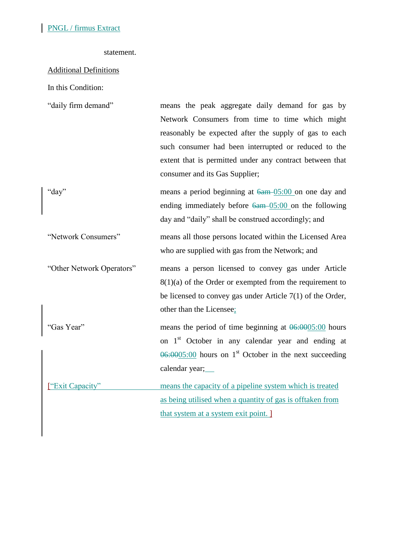#### statement.

# Additional Definitions

In this Condition:

| "daily firm demand"       | means the peak aggregate daily demand for gas by<br>Network Consumers from time to time which might<br>reasonably be expected after the supply of gas to each<br>such consumer had been interrupted or reduced to the<br>extent that is permitted under any contract between that |
|---------------------------|-----------------------------------------------------------------------------------------------------------------------------------------------------------------------------------------------------------------------------------------------------------------------------------|
|                           | consumer and its Gas Supplier;                                                                                                                                                                                                                                                    |
| "day"                     | means a period beginning at $6a m - 05:00$ on one day and<br>ending immediately before $\frac{6am - 05:00}{am}$ on the following<br>day and "daily" shall be construed accordingly; and                                                                                           |
| "Network Consumers"       | means all those persons located within the Licensed Area<br>who are supplied with gas from the Network; and                                                                                                                                                                       |
| "Other Network Operators" | means a person licensed to convey gas under Article<br>$8(1)(a)$ of the Order or exempted from the requirement to<br>be licensed to convey gas under Article $7(1)$ of the Order,<br>other than the Licensee;                                                                     |
| "Gas Year"                | means the period of time beginning at $0.60005:00$ hours<br>on 1 <sup>st</sup> October in any calendar year and ending at<br>$\overline{06:0005:00}$ hours on 1 <sup>st</sup> October in the next succeeding<br>calendar year;                                                    |
| ["Exit Capacity"          | means the capacity of a pipeline system which is treated<br>as being utilised when a quantity of gas is offtaken from<br>that system at a system exit point.                                                                                                                      |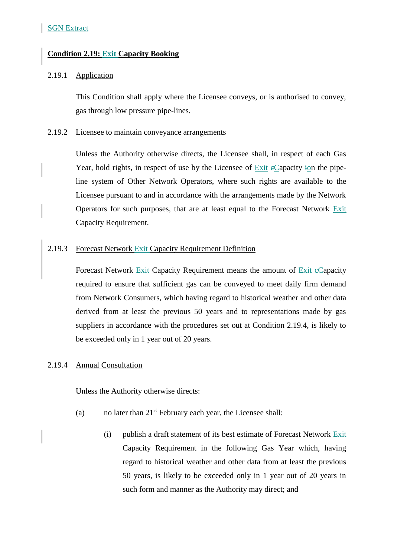# **Condition 2.19: Exit Capacity Booking**

#### 2.19.1 Application

This Condition shall apply where the Licensee conveys, or is authorised to convey, gas through low pressure pipe-lines.

#### 2.19.2 Licensee to maintain conveyance arrangements

Unless the Authority otherwise directs, the Licensee shall, in respect of each Gas Year, hold rights, in respect of use by the Licensee of  $\overline{Exit}$  e $\overline{Capacity}$  ion the pipeline system of Other Network Operators, where such rights are available to the Licensee pursuant to and in accordance with the arrangements made by the Network Operators for such purposes, that are at least equal to the Forecast Network Exit Capacity Requirement.

## 2.19.3 Forecast Network Exit Capacity Requirement Definition

Forecast Network Exit Capacity Requirement means the amount of Exit eCapacity required to ensure that sufficient gas can be conveyed to meet daily firm demand from Network Consumers, which having regard to historical weather and other data derived from at least the previous 50 years and to representations made by gas suppliers in accordance with the procedures set out at Condition 2.19.4, is likely to be exceeded only in 1 year out of 20 years.

## 2.19.4 Annual Consultation

Unless the Authority otherwise directs:

- (a) no later than  $21<sup>st</sup>$  February each year, the Licensee shall:
	- (i) publish a draft statement of its best estimate of Forecast Network Exit Capacity Requirement in the following Gas Year which, having regard to historical weather and other data from at least the previous 50 years, is likely to be exceeded only in 1 year out of 20 years in such form and manner as the Authority may direct; and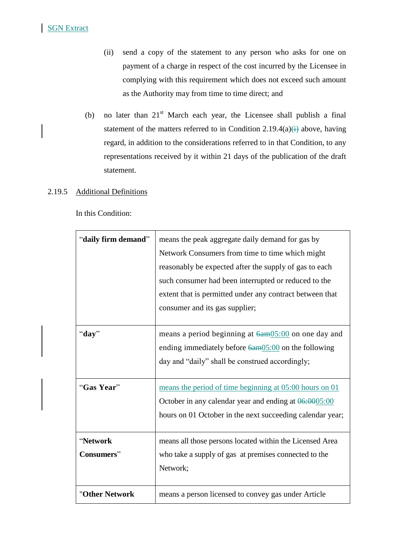- (ii) send a copy of the statement to any person who asks for one on payment of a charge in respect of the cost incurred by the Licensee in complying with this requirement which does not exceed such amount as the Authority may from time to time direct; and
- (b) no later than  $21<sup>st</sup>$  March each year, the Licensee shall publish a final statement of the matters referred to in Condition 2.19.4(a) $\leftrightarrow$  above, having regard, in addition to the considerations referred to in that Condition, to any representations received by it within 21 days of the publication of the draft statement.

## 2.19.5 Additional Definitions

In this Condition:

| "daily firm demand"    | means the peak aggregate daily demand for gas by<br>Network Consumers from time to time which might<br>reasonably be expected after the supply of gas to each<br>such consumer had been interrupted or reduced to the<br>extent that is permitted under any contract between that<br>consumer and its gas supplier; |
|------------------------|---------------------------------------------------------------------------------------------------------------------------------------------------------------------------------------------------------------------------------------------------------------------------------------------------------------------|
| "day"                  | means a period beginning at $6a \text{m}05:00$ on one day and<br>ending immediately before $6a \text{m}05:00$ on the following<br>day and "daily" shall be construed accordingly;                                                                                                                                   |
| "Gas Year"             | means the period of time beginning at 05:00 hours on 01<br>October in any calendar year and ending at $0.0005:00$<br>hours on 01 October in the next succeeding calendar year;                                                                                                                                      |
| "Network<br>Consumers" | means all those persons located within the Licensed Area<br>who take a supply of gas at premises connected to the<br>Network;                                                                                                                                                                                       |
| "Other Network         | means a person licensed to convey gas under Article                                                                                                                                                                                                                                                                 |